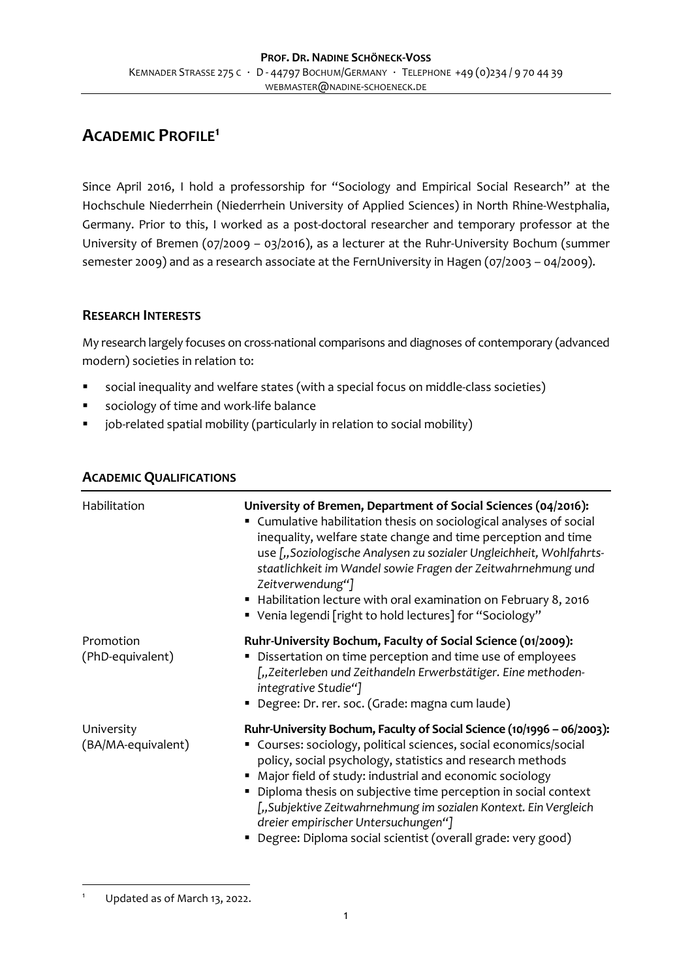# **ACADEMIC PROFILE<sup>1</sup>**

Since April 2016, I hold a professorship for "Sociology and Empirical Social Research" at the Hochschule Niederrhein (Niederrhein University of Applied Sciences) in North Rhine-Westphalia, Germany. Prior to this, I worked as a post-doctoral researcher and temporary professor at the University of Bremen (07/2009 – 03/2016), as a lecturer at the Ruhr-University Bochum (summer semester 2009) and as a research associate at the FernUniversity in Hagen (07/2003 – 04/2009).

### **RESEARCH INTERESTS**

My research largely focuses on cross-national comparisons and diagnoses of contemporary (advanced modern) societies in relation to:

- social inequality and welfare states (with a special focus on middle-class societies)
- sociology of time and work-life balance
- job-related spatial mobility (particularly in relation to social mobility)

| Habilitation                     | University of Bremen, Department of Social Sciences (04/2016):<br>" Cumulative habilitation thesis on sociological analyses of social<br>inequality, welfare state change and time perception and time<br>use ["Soziologische Analysen zu sozialer Ungleichheit, Wohlfahrts-<br>staatlichkeit im Wandel sowie Fragen der Zeitwahrnehmung und<br>Zeitverwendung"]<br>Habilitation lecture with oral examination on February 8, 2016<br>■ Venia legendi [right to hold lectures] for "Sociology"                        |
|----------------------------------|-----------------------------------------------------------------------------------------------------------------------------------------------------------------------------------------------------------------------------------------------------------------------------------------------------------------------------------------------------------------------------------------------------------------------------------------------------------------------------------------------------------------------|
| Promotion<br>(PhD-equivalent)    | Ruhr-University Bochum, Faculty of Social Science (01/2009):<br>Dissertation on time perception and time use of employees<br>٠<br>["Zeiterleben und Zeithandeln Erwerbstätiger. Eine methoden-<br>integrative Studie"]<br>Degree: Dr. rer. soc. (Grade: magna cum laude)                                                                                                                                                                                                                                              |
| University<br>(BA/MA-equivalent) | Ruhr-University Bochum, Faculty of Social Science (10/1996 - 06/2003):<br>" Courses: sociology, political sciences, social economics/social<br>policy, social psychology, statistics and research methods<br>• Major field of study: industrial and economic sociology<br>• Diploma thesis on subjective time perception in social context<br>["Subjektive Zeitwahrnehmung im sozialen Kontext. Ein Vergleich<br>dreier empirischer Untersuchungen"]<br>• Degree: Diploma social scientist (overall grade: very good) |

### **ACADEMIC QUALIFICATIONS**

 $\overline{a}$ Updated as of March 13, 2022.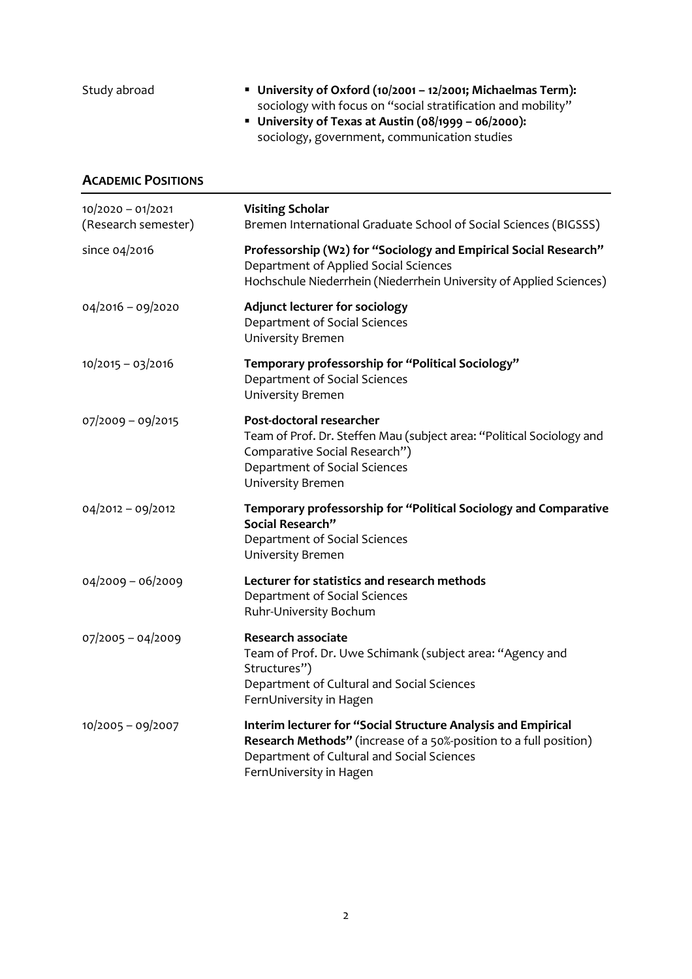| Study abroad                             | University of Oxford (10/2001 - 12/2001; Michaelmas Term):<br>sociology with focus on "social stratification and mobility"<br>University of Texas at Austin (08/1999 - 06/2000):<br>sociology, government, communication studies |
|------------------------------------------|----------------------------------------------------------------------------------------------------------------------------------------------------------------------------------------------------------------------------------|
| <b>ACADEMIC POSITIONS</b>                |                                                                                                                                                                                                                                  |
| 10/2020 - 01/2021<br>(Research semester) | <b>Visiting Scholar</b><br>Bremen International Graduate School of Social Sciences (BIGSSS)                                                                                                                                      |
| since 04/2016                            | Professorship (W2) for "Sociology and Empirical Social Research"<br>Department of Applied Social Sciences<br>Hochschule Niederrhein (Niederrhein University of Applied Sciences)                                                 |
| 04/2016 - 09/2020                        | <b>Adjunct lecturer for sociology</b><br>Department of Social Sciences<br>University Bremen                                                                                                                                      |
| 10/2015 - 03/2016                        | Temporary professorship for "Political Sociology"<br>Department of Social Sciences<br>University Bremen                                                                                                                          |
| 07/2009 - 09/2015                        | Post-doctoral researcher<br>Team of Prof. Dr. Steffen Mau (subject area: "Political Sociology and<br>Comparative Social Research")<br>Department of Social Sciences<br>University Bremen                                         |
| $04/2012 - 09/2012$                      | Temporary professorship for "Political Sociology and Comparative<br>Social Research"<br>Department of Social Sciences<br>University Bremen                                                                                       |
| $04/2009 - 06/2009$                      | Lecturer for statistics and research methods<br>Department of Social Sciences<br>Ruhr-University Bochum                                                                                                                          |
| 07/2005 - 04/2009                        | <b>Research associate</b><br>Team of Prof. Dr. Uwe Schimank (subject area: "Agency and<br>Structures")<br>Department of Cultural and Social Sciences<br>FernUniversity in Hagen                                                  |
| 10/2005 - 09/2007                        | Interim lecturer for "Social Structure Analysis and Empirical<br>Research Methods" (increase of a 50%-position to a full position)<br>Department of Cultural and Social Sciences<br>FernUniversity in Hagen                      |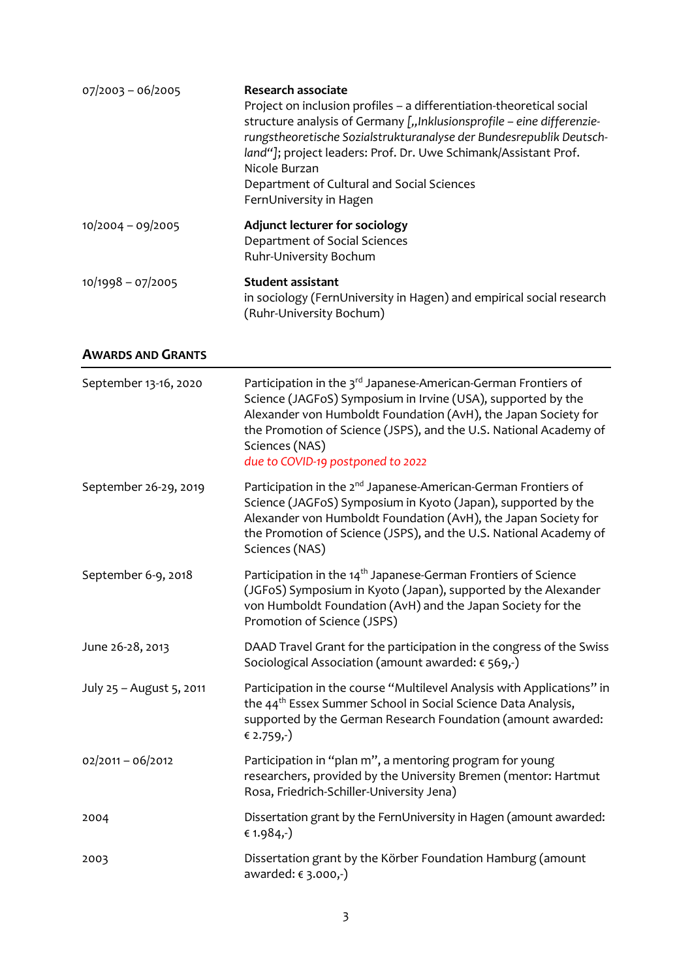| $07/2003 - 06/2005$ | <b>Research associate</b><br>Project on inclusion profiles – a differentiation-theoretical social<br>structure analysis of Germany [,, Inklusionsprofile - eine differenzie-<br>rungstheoretische Sozialstrukturanalyse der Bundesrepublik Deutsch-<br>land"]; project leaders: Prof. Dr. Uwe Schimank/Assistant Prof.<br>Nicole Burzan<br>Department of Cultural and Social Sciences<br>FernUniversity in Hagen |
|---------------------|------------------------------------------------------------------------------------------------------------------------------------------------------------------------------------------------------------------------------------------------------------------------------------------------------------------------------------------------------------------------------------------------------------------|
| $10/2004 - 09/2005$ | Adjunct lecturer for sociology<br>Department of Social Sciences<br>Ruhr-University Bochum                                                                                                                                                                                                                                                                                                                        |
| $10/1998 - 07/2005$ | <b>Student assistant</b><br>in sociology (FernUniversity in Hagen) and empirical social research<br>(Ruhr-University Bochum)                                                                                                                                                                                                                                                                                     |

### **AWARDS AND GRANTS**

| September 13-16, 2020    | Participation in the 3 <sup>rd</sup> Japanese-American-German Frontiers of<br>Science (JAGFoS) Symposium in Irvine (USA), supported by the<br>Alexander von Humboldt Foundation (AvH), the Japan Society for<br>the Promotion of Science (JSPS), and the U.S. National Academy of<br>Sciences (NAS)<br>due to COVID-19 postponed to 2022 |
|--------------------------|------------------------------------------------------------------------------------------------------------------------------------------------------------------------------------------------------------------------------------------------------------------------------------------------------------------------------------------|
| September 26-29, 2019    | Participation in the 2 <sup>nd</sup> Japanese-American-German Frontiers of<br>Science (JAGFoS) Symposium in Kyoto (Japan), supported by the<br>Alexander von Humboldt Foundation (AvH), the Japan Society for<br>the Promotion of Science (JSPS), and the U.S. National Academy of<br>Sciences (NAS)                                     |
| September 6-9, 2018      | Participation in the 14 <sup>th</sup> Japanese-German Frontiers of Science<br>(JGFoS) Symposium in Kyoto (Japan), supported by the Alexander<br>von Humboldt Foundation (AvH) and the Japan Society for the<br>Promotion of Science (JSPS)                                                                                               |
| June 26-28, 2013         | DAAD Travel Grant for the participation in the congress of the Swiss<br>Sociological Association (amount awarded: € 569,-)                                                                                                                                                                                                               |
| July 25 - August 5, 2011 | Participation in the course "Multilevel Analysis with Applications" in<br>the 44 <sup>th</sup> Essex Summer School in Social Science Data Analysis,<br>supported by the German Research Foundation (amount awarded:<br>€ 2.759,-)                                                                                                        |
| $02/2011 - 06/2012$      | Participation in "plan m", a mentoring program for young<br>researchers, provided by the University Bremen (mentor: Hartmut<br>Rosa, Friedrich-Schiller-University Jena)                                                                                                                                                                 |
| 2004                     | Dissertation grant by the FernUniversity in Hagen (amount awarded:<br>€ 1.984,-)                                                                                                                                                                                                                                                         |
| 2003                     | Dissertation grant by the Körber Foundation Hamburg (amount<br>awarded: € 3.000,-)                                                                                                                                                                                                                                                       |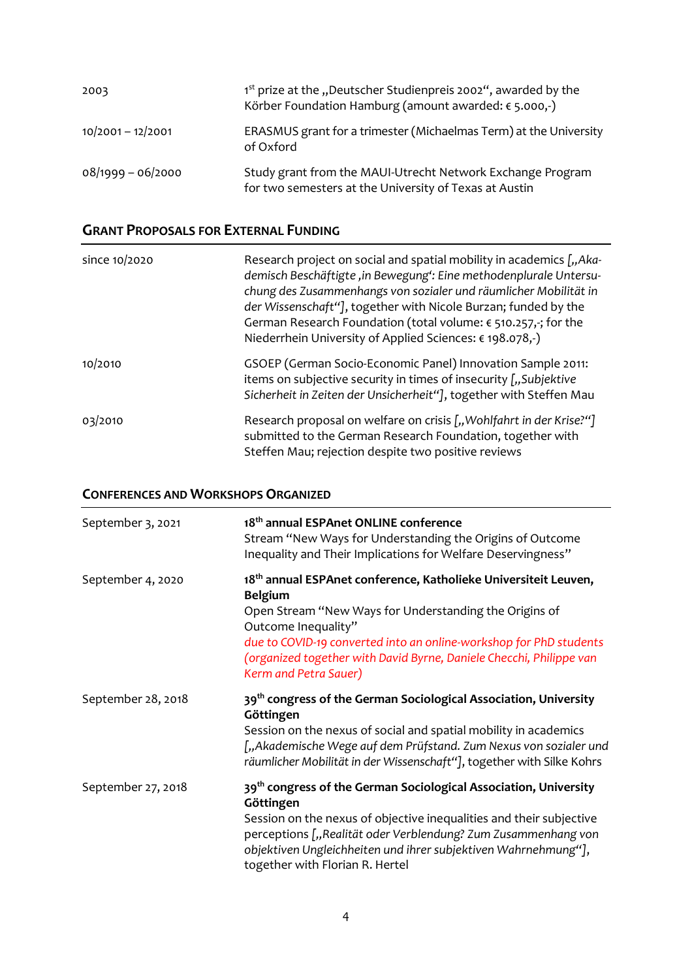| 2003                | 1 <sup>st</sup> prize at the "Deutscher Studienpreis 2002", awarded by the<br>Körber Foundation Hamburg (amount awarded: $\epsilon$ 5.000,-) |
|---------------------|----------------------------------------------------------------------------------------------------------------------------------------------|
| $10/2001 - 12/2001$ | ERASMUS grant for a trimester (Michaelmas Term) at the University<br>of Oxford                                                               |
| $08/1999 - 06/2000$ | Study grant from the MAUI-Utrecht Network Exchange Program<br>for two semesters at the University of Texas at Austin                         |

## **GRANT PROPOSALS FOR EXTERNAL FUNDING**

| since 10/2020 | Research project on social and spatial mobility in academics [, Aka-<br>demisch Beschäftigte, in Bewegung': Eine methodenplurale Untersu-<br>chung des Zusammenhangs von sozialer und räumlicher Mobilität in<br>der Wissenschaft"], together with Nicole Burzan; funded by the<br>German Research Foundation (total volume: $\epsilon$ 510.257,-; for the<br>Niederrhein University of Applied Sciences: € 198.078,-) |
|---------------|------------------------------------------------------------------------------------------------------------------------------------------------------------------------------------------------------------------------------------------------------------------------------------------------------------------------------------------------------------------------------------------------------------------------|
| 10/2010       | GSOEP (German Socio-Economic Panel) Innovation Sample 2011:<br>items on subjective security in times of insecurity [,,Subjektive<br>Sicherheit in Zeiten der Unsicherheit"], together with Steffen Mau                                                                                                                                                                                                                 |
| 03/2010       | Research proposal on welfare on crisis [,, Wohlfahrt in der Krise?"]<br>submitted to the German Research Foundation, together with<br>Steffen Mau; rejection despite two positive reviews                                                                                                                                                                                                                              |

#### **CONFERENCES AND WORKSHOPS ORGANIZED**

| September 3, 2021  | 18 <sup>th</sup> annual ESPAnet ONLINE conference<br>Stream "New Ways for Understanding the Origins of Outcome<br>Inequality and Their Implications for Welfare Deservingness"                                                                                                                                                                       |
|--------------------|------------------------------------------------------------------------------------------------------------------------------------------------------------------------------------------------------------------------------------------------------------------------------------------------------------------------------------------------------|
| September 4, 2020  | 18 <sup>th</sup> annual ESPAnet conference, Katholieke Universiteit Leuven,<br><b>Belgium</b><br>Open Stream "New Ways for Understanding the Origins of<br>Outcome Inequality"<br>due to COVID-19 converted into an online-workshop for PhD students<br>(organized together with David Byrne, Daniele Checchi, Philippe van<br>Kerm and Petra Sauer) |
| September 28, 2018 | 39 <sup>th</sup> congress of the German Sociological Association, University<br>Göttingen<br>Session on the nexus of social and spatial mobility in academics<br>["Akademische Wege auf dem Prüfstand. Zum Nexus von sozialer und<br>räumlicher Mobilität in der Wissenschaft"], together with Silke Kohrs                                           |
| September 27, 2018 | 39 <sup>th</sup> congress of the German Sociological Association, University<br>Göttingen<br>Session on the nexus of objective inequalities and their subjective<br>perceptions ["Realität oder Verblendung? Zum Zusammenhang von<br>objektiven Ungleichheiten und ihrer subjektiven Wahrnehmung"],<br>together with Florian R. Hertel               |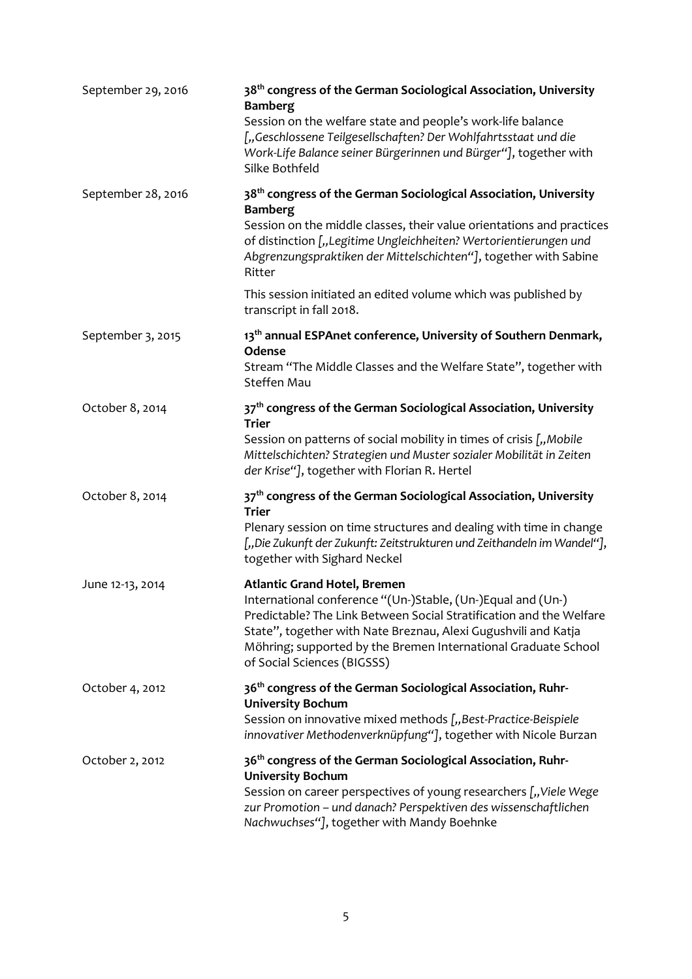| September 29, 2016 | 38 <sup>th</sup> congress of the German Sociological Association, University<br><b>Bamberg</b><br>Session on the welfare state and people's work-life balance<br>["Geschlossene Teilgesellschaften? Der Wohlfahrtsstaat und die<br>Work-Life Balance seiner Bürgerinnen und Bürger"], together with<br>Silke Bothfeld                        |
|--------------------|----------------------------------------------------------------------------------------------------------------------------------------------------------------------------------------------------------------------------------------------------------------------------------------------------------------------------------------------|
| September 28, 2016 | 38 <sup>th</sup> congress of the German Sociological Association, University<br><b>Bamberg</b><br>Session on the middle classes, their value orientations and practices<br>of distinction ["Legitime Ungleichheiten? Wertorientierungen und<br>Abgrenzungspraktiken der Mittelschichten"], together with Sabine<br>Ritter                    |
|                    | This session initiated an edited volume which was published by<br>transcript in fall 2018.                                                                                                                                                                                                                                                   |
| September 3, 2015  | 13 <sup>th</sup> annual ESPAnet conference, University of Southern Denmark,<br>Odense<br>Stream "The Middle Classes and the Welfare State", together with<br>Steffen Mau                                                                                                                                                                     |
| October 8, 2014    | 37 <sup>th</sup> congress of the German Sociological Association, University<br><b>Trier</b><br>Session on patterns of social mobility in times of crisis [,, Mobile<br>Mittelschichten? Strategien und Muster sozialer Mobilität in Zeiten<br>der Krise"], together with Florian R. Hertel                                                  |
| October 8, 2014    | 37 <sup>th</sup> congress of the German Sociological Association, University<br><b>Trier</b><br>Plenary session on time structures and dealing with time in change<br>[,,Die Zukunft der Zukunft: Zeitstrukturen und Zeithandeln im Wandel"],<br>together with Sighard Neckel                                                                |
| June 12-13, 2014   | <b>Atlantic Grand Hotel, Bremen</b><br>International conference "(Un-)Stable, (Un-)Equal and (Un-)<br>Predictable? The Link Between Social Stratification and the Welfare<br>State", together with Nate Breznau, Alexi Gugushvili and Katja<br>Möhring; supported by the Bremen International Graduate School<br>of Social Sciences (BIGSSS) |
| October 4, 2012    | 36 <sup>th</sup> congress of the German Sociological Association, Ruhr-<br><b>University Bochum</b><br>Session on innovative mixed methods [,, Best-Practice-Beispiele<br>innovativer Methodenverknüpfung"], together with Nicole Burzan                                                                                                     |
| October 2, 2012    | 36 <sup>th</sup> congress of the German Sociological Association, Ruhr-<br><b>University Bochum</b><br>Session on career perspectives of young researchers [,, Viele Wege<br>zur Promotion - und danach? Perspektiven des wissenschaftlichen<br>Nachwuchses"], together with Mandy Boehnke                                                   |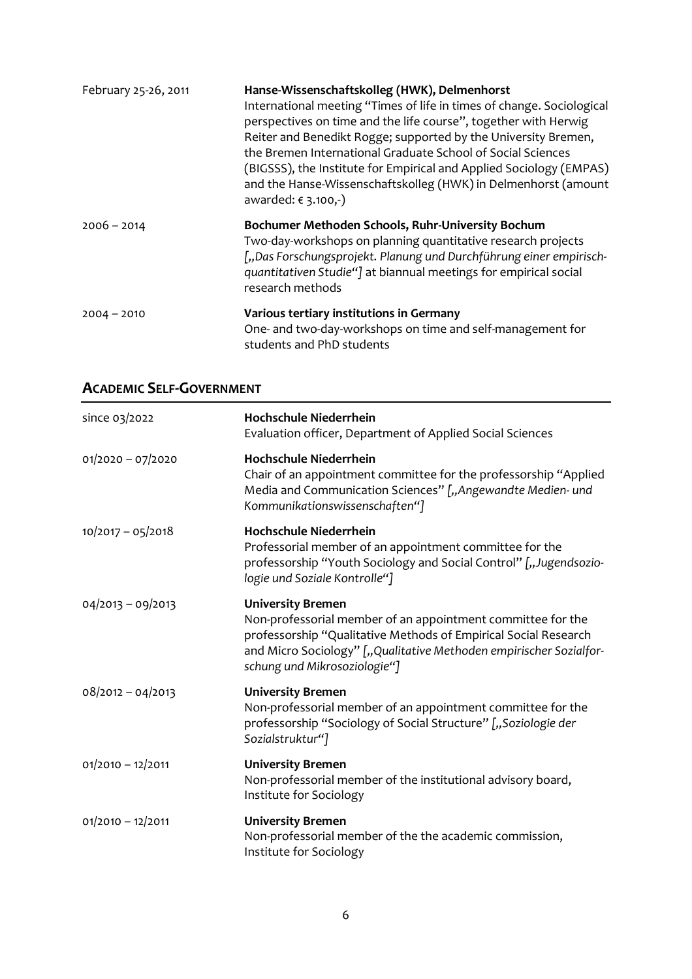| February 25-26, 2011 | Hanse-Wissenschaftskolleg (HWK), Delmenhorst<br>International meeting "Times of life in times of change. Sociological<br>perspectives on time and the life course", together with Herwig<br>Reiter and Benedikt Rogge; supported by the University Bremen,<br>the Bremen International Graduate School of Social Sciences<br>(BIGSSS), the Institute for Empirical and Applied Sociology (EMPAS)<br>and the Hanse-Wissenschaftskolleg (HWK) in Delmenhorst (amount<br>awarded: $€ 3.100,-)$ |
|----------------------|---------------------------------------------------------------------------------------------------------------------------------------------------------------------------------------------------------------------------------------------------------------------------------------------------------------------------------------------------------------------------------------------------------------------------------------------------------------------------------------------|
| $2006 - 2014$        | Bochumer Methoden Schools, Ruhr-University Bochum<br>Two-day-workshops on planning quantitative research projects<br>["Das Forschungsprojekt. Planung und Durchführung einer empirisch-<br>quantitativen Studie"] at biannual meetings for empirical social<br>research methods                                                                                                                                                                                                             |
| $2004 - 2010$        | Various tertiary institutions in Germany<br>One- and two-day-workshops on time and self-management for<br>students and PhD students                                                                                                                                                                                                                                                                                                                                                         |

## **ACADEMIC SELF-GOVERNMENT**

| since 03/2022       | <b>Hochschule Niederrhein</b><br>Evaluation officer, Department of Applied Social Sciences                                                                                                                                                                       |
|---------------------|------------------------------------------------------------------------------------------------------------------------------------------------------------------------------------------------------------------------------------------------------------------|
| $01/2020 - 07/2020$ | <b>Hochschule Niederrhein</b><br>Chair of an appointment committee for the professorship "Applied<br>Media and Communication Sciences" ["Angewandte Medien- und<br>Kommunikationswissenschaften"]                                                                |
| $10/2017 - 05/2018$ | <b>Hochschule Niederrhein</b><br>Professorial member of an appointment committee for the<br>professorship "Youth Sociology and Social Control" ["Jugendsozio-<br>logie und Soziale Kontrolle"]                                                                   |
| $04/2013 - 09/2013$ | <b>University Bremen</b><br>Non-professorial member of an appointment committee for the<br>professorship "Qualitative Methods of Empirical Social Research<br>and Micro Sociology" ["Qualitative Methoden empirischer Sozialfor-<br>schung und Mikrosoziologie"] |
| $08/2012 - 04/2013$ | <b>University Bremen</b><br>Non-professorial member of an appointment committee for the<br>professorship "Sociology of Social Structure" ["Soziologie der<br>Sozialstruktur"]                                                                                    |
| $01/2010 - 12/2011$ | <b>University Bremen</b><br>Non-professorial member of the institutional advisory board,<br>Institute for Sociology                                                                                                                                              |
| $01/2010 - 12/2011$ | <b>University Bremen</b><br>Non-professorial member of the the academic commission,<br>Institute for Sociology                                                                                                                                                   |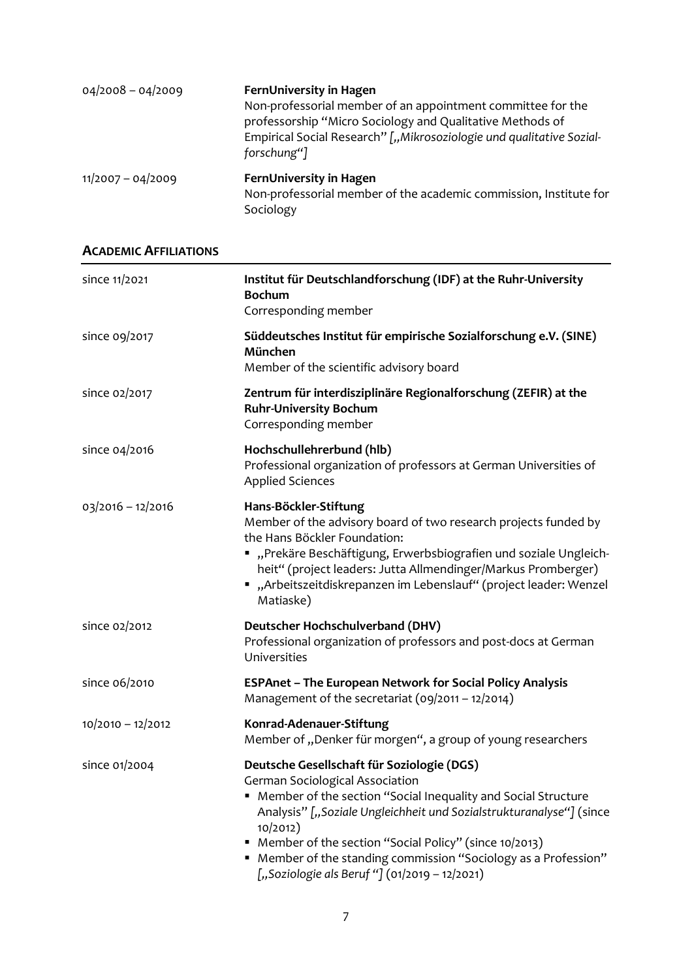| $04/2008 - 04/2009$ | FernUniversity in Hagen<br>Non-professorial member of an appointment committee for the<br>professorship "Micro Sociology and Qualitative Methods of<br>Empirical Social Research" [,, Mikrosoziologie und qualitative Sozial-<br>forschung"] |
|---------------------|----------------------------------------------------------------------------------------------------------------------------------------------------------------------------------------------------------------------------------------------|
| $11/2007 - 04/2009$ | FernUniversity in Hagen<br>Non-professorial member of the academic commission, Institute for<br>Sociology                                                                                                                                    |

#### **ACADEMIC AFFILIATIONS**

| since 11/2021       | Institut für Deutschlandforschung (IDF) at the Ruhr-University<br><b>Bochum</b><br>Corresponding member                                                                                                                                                                                                                                                                                                               |
|---------------------|-----------------------------------------------------------------------------------------------------------------------------------------------------------------------------------------------------------------------------------------------------------------------------------------------------------------------------------------------------------------------------------------------------------------------|
| since 09/2017       | Süddeutsches Institut für empirische Sozialforschung e.V. (SINE)<br>München<br>Member of the scientific advisory board                                                                                                                                                                                                                                                                                                |
| since 02/2017       | Zentrum für interdisziplinäre Regionalforschung (ZEFIR) at the<br><b>Ruhr-University Bochum</b><br>Corresponding member                                                                                                                                                                                                                                                                                               |
| since 04/2016       | Hochschullehrerbund (hlb)<br>Professional organization of professors at German Universities of<br><b>Applied Sciences</b>                                                                                                                                                                                                                                                                                             |
| $03/2016 - 12/2016$ | Hans-Böckler-Stiftung<br>Member of the advisory board of two research projects funded by<br>the Hans Böckler Foundation:<br>",Prekäre Beschäftigung, Erwerbsbiografien und soziale Ungleich-<br>heit" (project leaders: Jutta Allmendinger/Markus Promberger)<br>■ "Arbeitszeitdiskrepanzen im Lebenslauf" (project leader: Wenzel<br>Matiaske)                                                                       |
| since 02/2012       | Deutscher Hochschulverband (DHV)<br>Professional organization of professors and post-docs at German<br>Universities                                                                                                                                                                                                                                                                                                   |
| since 06/2010       | <b>ESPAnet - The European Network for Social Policy Analysis</b><br>Management of the secretariat $(09/2011 - 12/2014)$                                                                                                                                                                                                                                                                                               |
| $10/2010 - 12/2012$ | Konrad-Adenauer-Stiftung<br>Member of "Denker für morgen", a group of young researchers                                                                                                                                                                                                                                                                                                                               |
| since 01/2004       | Deutsche Gesellschaft für Soziologie (DGS)<br><b>German Sociological Association</b><br>Member of the section "Social Inequality and Social Structure<br>Analysis" ["Soziale Ungleichheit und Sozialstrukturanalyse"] (since<br>10/2012)<br>Member of the section "Social Policy" (since 10/2013)<br>" Member of the standing commission "Sociology as a Profession"<br>["Soziologie als Beruf "] (01/2019 - 12/2021) |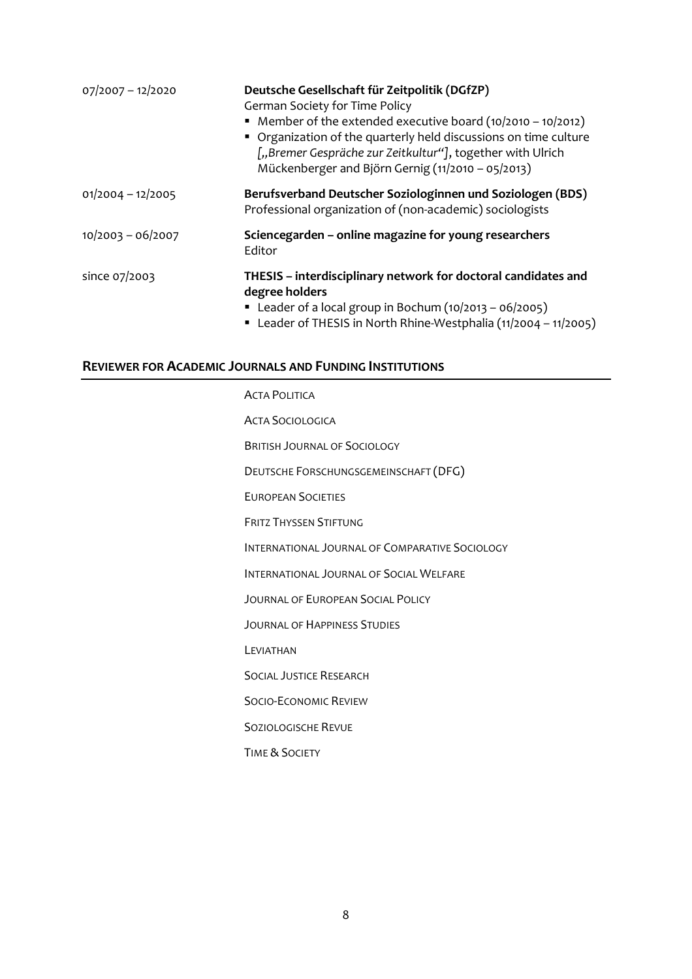| 07/2007 - 12/2020   | Deutsche Gesellschaft für Zeitpolitik (DGfZP)<br><b>German Society for Time Policy</b><br>• Member of the extended executive board $(10/2010 - 10/2012)$<br>• Organization of the quarterly held discussions on time culture<br>["Bremer Gespräche zur Zeitkultur"], together with Ulrich<br>Mückenberger and Björn Gernig (11/2010 - 05/2013) |
|---------------------|------------------------------------------------------------------------------------------------------------------------------------------------------------------------------------------------------------------------------------------------------------------------------------------------------------------------------------------------|
| $01/2004 - 12/2005$ | Berufsverband Deutscher Soziologinnen und Soziologen (BDS)<br>Professional organization of (non-academic) sociologists                                                                                                                                                                                                                         |
| $10/2003 - 06/2007$ | Sciencegarden – online magazine for young researchers<br>Editor                                                                                                                                                                                                                                                                                |
| since 07/2003       | THESIS - interdisciplinary network for doctoral candidates and<br>degree holders<br>Eleader of a local group in Bochum $(10/2013 - 06/2005)$<br>" Leader of THESIS in North Rhine-Westphalia (11/2004 - 11/2005)                                                                                                                               |

#### **REVIEWER FOR ACADEMIC JOURNALS AND FUNDING INSTITUTIONS**

ACTA POLITICA ACTA SOCIOLOGICA BRITISH JOURNAL OF SOCIOLOGY DEUTSCHE FORSCHUNGSGEMEINSCHAFT (DFG) EUROPEAN SOCIETIES FRITZ THYSSEN STIFTUNG INTERNATIONAL JOURNAL OF COMPARATIVE SOCIOLOGY INTERNATIONAL JOURNAL OF SOCIAL WELFARE JOURNAL OF EUROPEAN SOCIAL POLICY JOURNAL OF HAPPINESS STUDIES LEVIATHAN SOCIAL JUSTICE RESEARCH SOCIO-ECONOMIC REVIEW SOZIOLOGISCHE REVUE TIME & SOCIETY